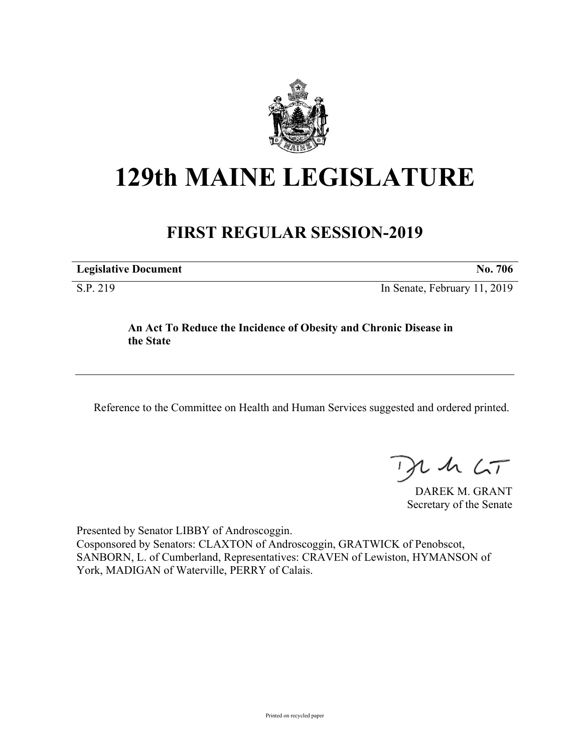

# **129th MAINE LEGISLATURE**

## **FIRST REGULAR SESSION-2019**

| <b>Legislative Document</b><br>706 |
|------------------------------------|
|------------------------------------|

S.P. 219 In Senate, February 11, 2019

#### **An Act To Reduce the Incidence of Obesity and Chronic Disease in the State**

Reference to the Committee on Health and Human Services suggested and ordered printed.

 $125$ 

DAREK M. GRANT Secretary of the Senate

Presented by Senator LIBBY of Androscoggin. Cosponsored by Senators: CLAXTON of Androscoggin, GRATWICK of Penobscot, SANBORN, L. of Cumberland, Representatives: CRAVEN of Lewiston, HYMANSON of York, MADIGAN of Waterville, PERRY of Calais.